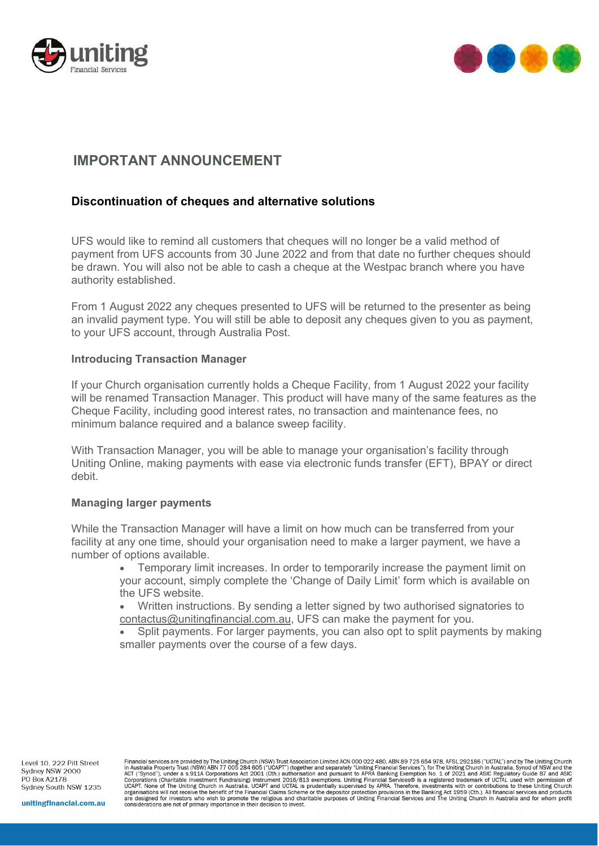



# **IMPORTANT ANNOUNCEMENT**

# **Discontinuation of cheques and alternative solutions**

UFS would like to remind all customers that cheques will no longer be a valid method of payment from UFS accounts from 30 June 2022 and from that date no further cheques should be drawn. You will also not be able to cash a cheque at the Westpac branch where you have authority established.

From 1 August 2022 any cheques presented to UFS will be returned to the presenter as being an invalid payment type. You will still be able to deposit any cheques given to you as payment, to your UFS account, through Australia Post.

## **Introducing Transaction Manager**

If your Church organisation currently holds a Cheque Facility, from 1 August 2022 your facility will be renamed Transaction Manager. This product will have many of the same features as the Cheque Facility, including good interest rates, no transaction and maintenance fees, no minimum balance required and a balance sweep facility.

With Transaction Manager, you will be able to manage your organisation's facility through Uniting Online, making payments with ease via electronic funds transfer (EFT), BPAY or direct debit.

### **Managing larger payments**

While the Transaction Manager will have a limit on how much can be transferred from your facility at any one time, should your organisation need to make a larger payment, we have a number of options available.

> • Temporary limit increases. In order to temporarily increase the payment limit on your account, simply complete the 'Change of Daily Limit' form which is available on the UFS website.

• Written instructions. By sending a letter signed by two authorised signatories to [contactus@unitingfinancial.com.au,](mailto:contactus@unitingfinancial.com.au) UFS can make the payment for you.

Split payments. For larger payments, you can also opt to split payments by making smaller payments over the course of a few days.

Level 10 222 Pitt Street Sydney NSW 2000 PO Box A2178 Sydney South NSW 1235

Financial services are provided by The Uniting Church (NSW) Trust Association Limited ACN 000 022 480, ABN 89 725 654 978, AFSL 292186 ("UCTAL") and by The Uniting Church<br>In Australia Property Trust (NSW) ABN 77 005 284 60 Act (Sprotations (Charitable Investment Fundraising) Instrument 2016/813 exemptions. Uniting Financial Services® is a registered trademark of UCTAL used with permission of<br>UCAPT. None of The Uniting Church in Australia, UC

unitingfinancial.com.au